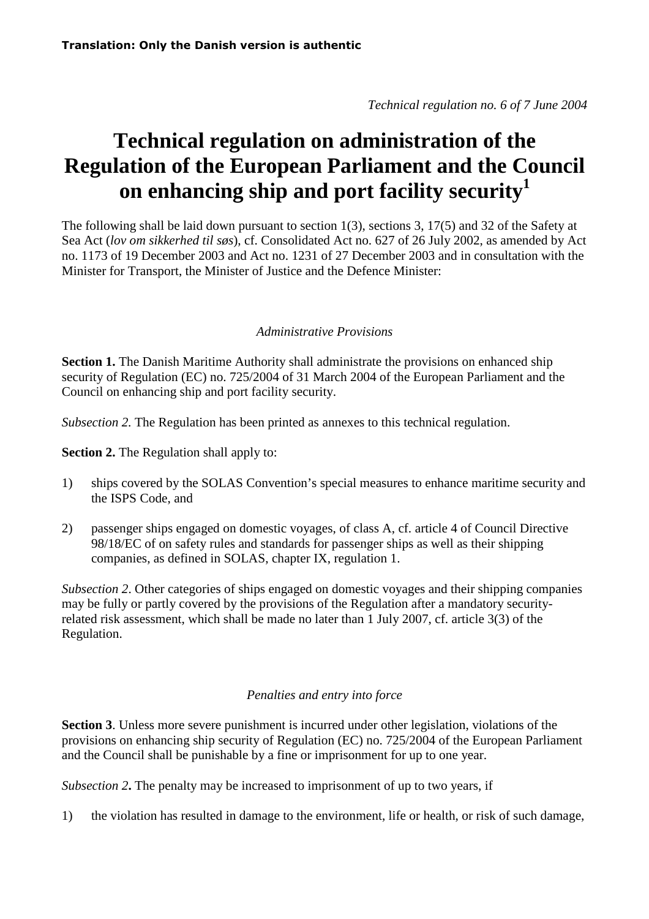*Technical regulation no. 6 of 7 June 2004* 

## **Technical regulation on administration of the Regulation of the European Parliament and the Council on enhancing ship and port facility security<sup>1</sup>**

The following shall be laid down pursuant to section 1(3), sections 3, 17(5) and 32 of the Safety at Sea Act (*lov om sikkerhed til søs*), cf. Consolidated Act no. 627 of 26 July 2002, as amended by Act no. 1173 of 19 December 2003 and Act no. 1231 of 27 December 2003 and in consultation with the Minister for Transport, the Minister of Justice and the Defence Minister:

## *Administrative Provisions*

**Section 1.** The Danish Maritime Authority shall administrate the provisions on enhanced ship security of Regulation (EC) no. 725/2004 of 31 March 2004 of the European Parliament and the Council on enhancing ship and port facility security.

*Subsection 2.* The Regulation has been printed as annexes to this technical regulation.

**Section 2.** The Regulation shall apply to:

- 1) ships covered by the SOLAS Convention's special measures to enhance maritime security and the ISPS Code, and
- 2) passenger ships engaged on domestic voyages, of class A, cf. article 4 of Council Directive 98/18/EC of on safety rules and standards for passenger ships as well as their shipping companies, as defined in SOLAS, chapter IX, regulation 1.

*Subsection 2*. Other categories of ships engaged on domestic voyages and their shipping companies may be fully or partly covered by the provisions of the Regulation after a mandatory securityrelated risk assessment, which shall be made no later than 1 July 2007, cf. article 3(3) of the Regulation.

## *Penalties and entry into force*

**Section 3**. Unless more severe punishment is incurred under other legislation, violations of the provisions on enhancing ship security of Regulation (EC) no. 725/2004 of the European Parliament and the Council shall be punishable by a fine or imprisonment for up to one year.

*Subsection 2***.** The penalty may be increased to imprisonment of up to two years, if

1) the violation has resulted in damage to the environment, life or health, or risk of such damage,